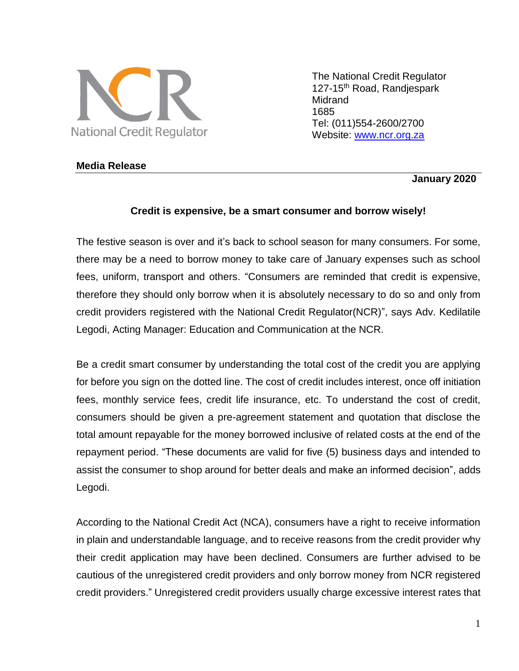

The National Credit Regulator 127-15<sup>th</sup> Road, Randjespark Midrand 1685 Tel: (011)554-2600/2700 Website: [www.ncr.org.za](http://www.ncr.org.za/)

### **Media Release**

### **January 2020**

### **Credit is expensive, be a smart consumer and borrow wisely!**

The festive season is over and it's back to school season for many consumers. For some, there may be a need to borrow money to take care of January expenses such as school fees, uniform, transport and others. "Consumers are reminded that credit is expensive, therefore they should only borrow when it is absolutely necessary to do so and only from credit providers registered with the National Credit Regulator(NCR)", says Adv. Kedilatile Legodi, Acting Manager: Education and Communication at the NCR.

Be a credit smart consumer by understanding the total cost of the credit you are applying for before you sign on the dotted line. The cost of credit includes interest, once off initiation fees, monthly service fees, credit life insurance, etc. To understand the cost of credit, consumers should be given a pre-agreement statement and quotation that disclose the total amount repayable for the money borrowed inclusive of related costs at the end of the repayment period. "These documents are valid for five (5) business days and intended to assist the consumer to shop around for better deals and make an informed decision", adds Legodi.

According to the National Credit Act (NCA), consumers have a right to receive information in plain and understandable language, and to receive reasons from the credit provider why their credit application may have been declined. Consumers are further advised to be cautious of the unregistered credit providers and only borrow money from NCR registered credit providers." Unregistered credit providers usually charge excessive interest rates that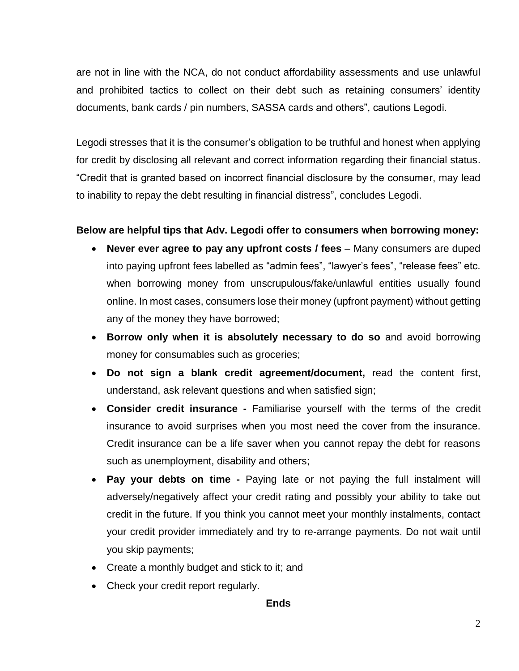are not in line with the NCA, do not conduct affordability assessments and use unlawful and prohibited tactics to collect on their debt such as retaining consumers' identity documents, bank cards / pin numbers, SASSA cards and others", cautions Legodi.

Legodi stresses that it is the consumer's obligation to be truthful and honest when applying for credit by disclosing all relevant and correct information regarding their financial status. "Credit that is granted based on incorrect financial disclosure by the consumer, may lead to inability to repay the debt resulting in financial distress", concludes Legodi.

# **Below are helpful tips that Adv. Legodi offer to consumers when borrowing money:**

- **Never ever agree to pay any upfront costs / fees**  Many consumers are duped into paying upfront fees labelled as "admin fees", "lawyer's fees", "release fees" etc. when borrowing money from unscrupulous/fake/unlawful entities usually found online. In most cases, consumers lose their money (upfront payment) without getting any of the money they have borrowed;
- **Borrow only when it is absolutely necessary to do so** and avoid borrowing money for consumables such as groceries;
- **Do not sign a blank credit agreement/document,** read the content first, understand, ask relevant questions and when satisfied sign;
- **Consider credit insurance -** Familiarise yourself with the terms of the credit insurance to avoid surprises when you most need the cover from the insurance. Credit insurance can be a life saver when you cannot repay the debt for reasons such as unemployment, disability and others;
- **Pay your debts on time -** Paying late or not paying the full instalment will adversely/negatively affect your credit rating and possibly your ability to take out credit in the future. If you think you cannot meet your monthly instalments, contact your credit provider immediately and try to re-arrange payments. Do not wait until you skip payments;
- Create a monthly budget and stick to it; and
- Check your credit report regularly.